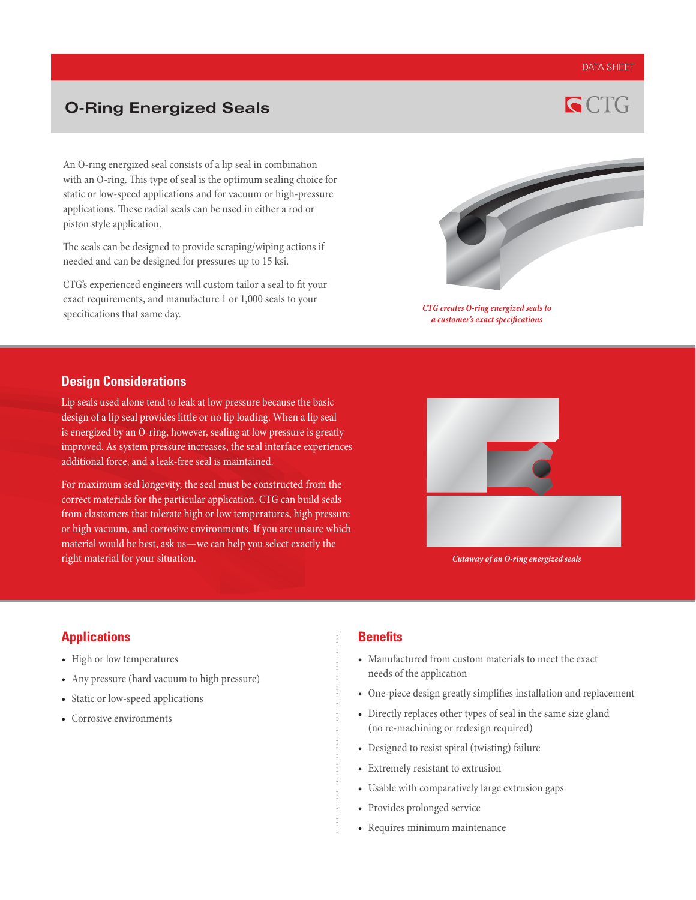#### DATA SHEET

# **O-Ring Energized Seals**



An O-ring energized seal consists of a lip seal in combination with an O-ring. This type of seal is the optimum sealing choice for static or low-speed applications and for vacuum or high-pressure applications. These radial seals can be used in either a rod or piston style application.

The seals can be designed to provide scraping/wiping actions if needed and can be designed for pressures up to 15 ksi.

CTG's experienced engineers will custom tailor a seal to fit your exact requirements, and manufacture 1 or 1,000 seals to your specifications that same day.



*CTG creates O-ring energized seals to a customer's exact specifications* 

### **Design Considerations**

Lip seals used alone tend to leak at low pressure because the basic design of a lip seal provides little or no lip loading. When a lip seal is energized by an O-ring, however, sealing at low pressure is greatly improved. As system pressure increases, the seal interface experiences additional force, and a leak-free seal is maintained.

For maximum seal longevity, the seal must be constructed from the correct materials for the particular application. CTG can build seals from elastomers that tolerate high or low temperatures, high pressure or high vacuum, and corrosive environments. If you are unsure which material would be best, ask us—we can help you select exactly the right material for your situation.



*Cutaway of an O-ring energized seals*

## **Applications**

- High or low temperatures
- Any pressure (hard vacuum to high pressure)
- Static or low-speed applications
- Corrosive environments

### **Benefits**

- Manufactured from custom materials to meet the exact needs of the application
- One-piece design greatly simplifies installation and replacement
- Directly replaces other types of seal in the same size gland (no re-machining or redesign required)
- Designed to resist spiral (twisting) failure
- Extremely resistant to extrusion
- Usable with comparatively large extrusion gaps
- Provides prolonged service
- Requires minimum maintenance